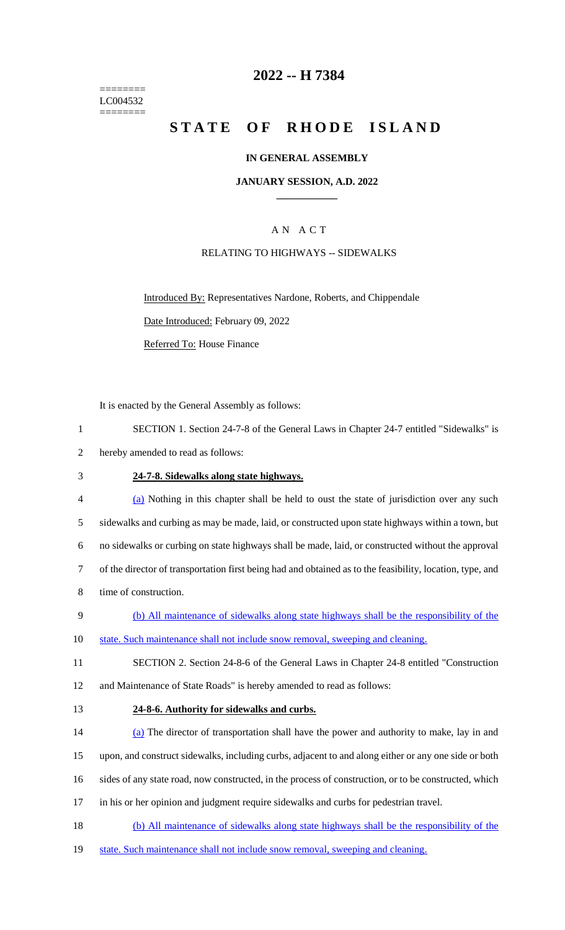======== LC004532 ========

# **2022 -- H 7384**

# **STATE OF RHODE ISLAND**

### **IN GENERAL ASSEMBLY**

### **JANUARY SESSION, A.D. 2022 \_\_\_\_\_\_\_\_\_\_\_\_**

## A N A C T

### RELATING TO HIGHWAYS -- SIDEWALKS

Introduced By: Representatives Nardone, Roberts, and Chippendale Date Introduced: February 09, 2022 Referred To: House Finance

It is enacted by the General Assembly as follows:

- 2 hereby amended to read as follows:
- 

### 3 **24-7-8. Sidewalks along state highways.**

- 4 (a) Nothing in this chapter shall be held to oust the state of jurisdiction over any such 5 sidewalks and curbing as may be made, laid, or constructed upon state highways within a town, but 6 no sidewalks or curbing on state highways shall be made, laid, or constructed without the approval 7 of the director of transportation first being had and obtained as to the feasibility, location, type, and 8 time of construction.
- 9 (b) All maintenance of sidewalks along state highways shall be the responsibility of the
- 10 state. Such maintenance shall not include snow removal, sweeping and cleaning.
- 11 SECTION 2. Section 24-8-6 of the General Laws in Chapter 24-8 entitled "Construction 12 and Maintenance of State Roads" is hereby amended to read as follows:
- 13 **24-8-6. Authority for sidewalks and curbs.**
- 14 (a) The director of transportation shall have the power and authority to make, lay in and 15 upon, and construct sidewalks, including curbs, adjacent to and along either or any one side or both
- 
- 16 sides of any state road, now constructed, in the process of construction, or to be constructed, which
- 17 in his or her opinion and judgment require sidewalks and curbs for pedestrian travel.
- 18 (b) All maintenance of sidewalks along state highways shall be the responsibility of the
- 19 state. Such maintenance shall not include snow removal, sweeping and cleaning.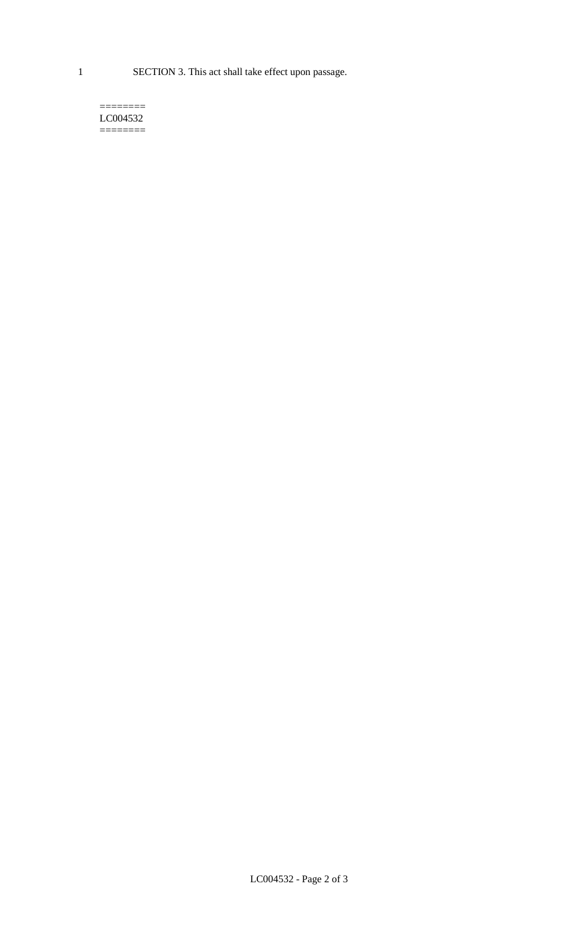1 SECTION 3. This act shall take effect upon passage.

#### $=$ LC004532  $=$